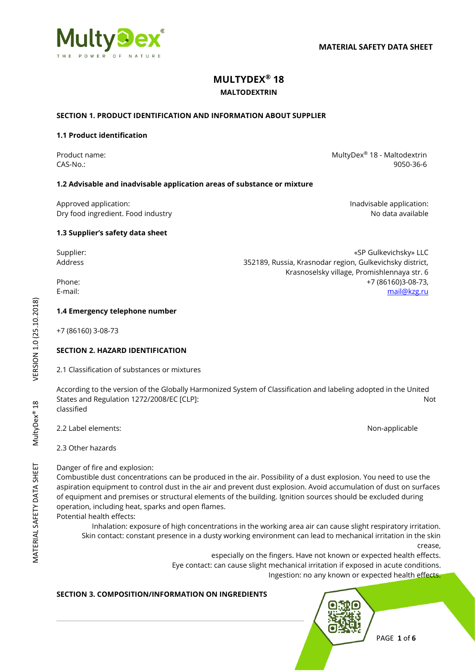

# **MULTYDEX® 18**

### **MALTODEXTRIN**

### **SECTION 1. PRODUCT IDENTIFICATION AND INFORMATION ABOUT SUPPLIER**

### **1.1 Product identification**

Product name: National Research MultyDex<sup>®</sup> 18 - Maltodextrin CAS-No.: 9050-36-6

Krasnoselsky village, Promishlennaya str. 6

### **1.2 Advisable and inadvisable application areas of substance or mixture**

Approved application: **Individually** Approved application: Dry food ingredient. Food industry and the state of the state of the state of the No data available

**1.3 Supplier's safety data sheet**

Supplier: «SP Gulkevichsky» LLC Address 352189, Russia, Krasnodar region, Gulkevichsky district,

Phone: +7 (86160)3-08-73, E-mail: [mail@kzg.ru](mailto:mail@kzg.ru)

### **1.4 Emergency telephone number**

+7 (86160) 3-08-73

### **SECTION 2. HAZARD IDENTIFICATION**

2.1 Classification of substances or mixtures

According to the version of the Globally Harmonized System of Classification and labeling adopted in the United States and Regulation 1272/2008/EC [CLP]: Not classified

2.2 Label elements: Non-applicable

2.3 Other hazards

Danger of fire and explosion:

Combustible dust concentrations can be produced in the air. Possibility of a dust explosion. You need to use the aspiration equipment to control dust in the air and prevent dust explosion. Avoid accumulation of dust on surfaces of equipment and premises or structural elements of the building. Ignition sources should be excluded during operation, including heat, sparks and open flames.

Potential health effects:

Inhalation: exposure of high concentrations in the working area air can cause slight respiratory irritation. Skin contact: constant presence in a dusty working environment can lead to mechanical irritation in the skin crease,

especially on the fingers. Have not known or expected health effects. Eye contact: can cause slight mechanical irritation if exposed in acute conditions. Ingestion: no any known or expected health effects.

### **SECTION 3. COMPOSITION/INFORMATION ON INGREDIENTS**



# VERSION 1.0 (25.10.2018) MATERIAL SAFETY DATA SHEET MultyDex® 18 VERSION 1.0 (25.10.2018) MultyDex<sup>®</sup> 18

PAGE **1** of **6**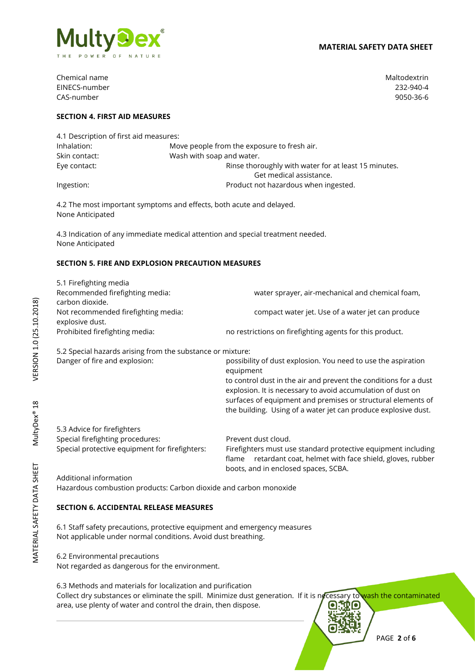

Chemical name Maltodextrin EINECS-number 232-940-4 CAS-number 9050-36-6

### **SECTION 4. FIRST AID MEASURES**

| 4.1 Description of first aid measures: |                                                      |  |
|----------------------------------------|------------------------------------------------------|--|
| Inhalation:                            | Move people from the exposure to fresh air.          |  |
| Skin contact:                          | Wash with soap and water.                            |  |
| Eye contact:                           | Rinse thoroughly with water for at least 15 minutes. |  |
|                                        | Get medical assistance.                              |  |
| Ingestion:                             | Product not hazardous when ingested.                 |  |

4.2 The most important symptoms and effects, both acute and delayed. None Anticipated

4.3 Indication of any immediate medical attention and special treatment needed. None Anticipated

### **SECTION 5. FIRE AND EXPLOSION PRECAUTION MEASURES**

| 5.1 Firefighting media<br>Recommended firefighting media:<br>carbon dioxide. | water sprayer, air-mechanical and chemical foam,                           |
|------------------------------------------------------------------------------|----------------------------------------------------------------------------|
| Not recommended firefighting media:                                          | compact water jet. Use of a water jet can produce                          |
| explosive dust.                                                              |                                                                            |
| Prohibited firefighting media:                                               | no restrictions on firefighting agents for this product.                   |
| 5.2 Special hazards arising from the substance or mixture:                   |                                                                            |
| Danger of fire and explosion:                                                | possibility of dust explosion. You need to use the aspiration<br>equipment |

to control dust in the air and prevent the conditions for a dust explosion. It is necessary to avoid accumulation of dust on surfaces of equipment and premises or structural elements of the building. Using of a water jet can produce explosive dust.

5.3 Advice for firefighters Special firefighting procedures: Prevent dust cloud.

Special protective equipment for firefighters: Firefighters must use standard protective equipment including flame retardant coat, helmet with face shield, gloves, rubber boots, and in enclosed spaces, SCBA.

Additional information Hazardous combustion products: Carbon dioxide and carbon monoxide

### **SECTION 6. ACCIDENTAL RELEASE MEASURES**

6.1 Staff safety precautions, protective equipment and emergency measures Not applicable under normal conditions. Avoid dust breathing.

6.2 Environmental precautions

Not regarded as dangerous for the environment.

6.3 Methods and materials for localization and purification

Collect dry substances or eliminate the spill. Minimize dust generation. If it is necessary to wash the contaminated area, use plenty of water and control the drain, then dispose.

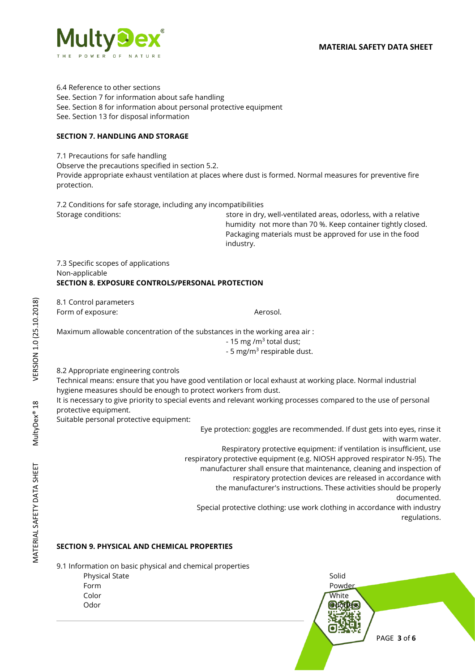

6.4 Reference to other sections See. Section 7 for information about safe handling See. Section 8 for information about personal protective equipment See. Section 13 for disposal information

### **SECTION 7. HANDLING AND STORAGE**

7.1 Precautions for safe handling

Observe the precautions specified in section 5.2.

Provide appropriate exhaust ventilation at places where dust is formed. Normal measures for preventive fire protection.

7.2 Conditions for safe storage, including any incompatibilities Storage conditions: store in dry, well-ventilated areas, odorless, with a relative

humidity not more than 70 %. Keep container tightly closed. Packaging materials must be approved for use in the food industry.

7.3 Specific scopes of applications Non-applicable **SECTION 8. EXPOSURE CONTROLS/PERSONAL PROTECTION** 

8.1 Control parameters Form of exposure:  $\blacksquare$ 

Maximum allowable concentration of the substances in the working area air :

- 15 mg /m<sup>3</sup> total dust;

- 5 mg/m<sup>3</sup> respirable dust.

8.2 Appropriate engineering controls

Technical means: ensure that you have good ventilation or local exhaust at working place. Normal industrial hygiene measures should be enough to protect workers from dust.

It is necessary to give priority to special events and relevant working processes compared to the use of personal protective equipment.

Suitable personal protective equipment:

Eye protection: goggles are recommended. If dust gets into eyes, rinse it with warm water.

Respiratory protective equipment: if ventilation is insufficient, use respiratory protective equipment (e.g. NIOSH approved respirator N-95). The manufacturer shall ensure that maintenance, cleaning and inspection of respiratory protection devices are released in accordance with the manufacturer's instructions. These activities should be properly

documented.

Special protective clothing: use work clothing in accordance with industry regulations.

# **SECTION 9. PHYSICAL AND CHEMICAL PROPERTIES**

9.1 Information on basic physical and chemical properties

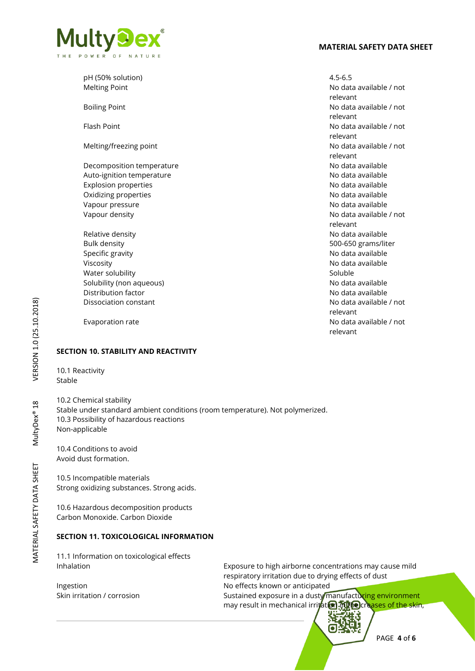



pH (50% solution) 4.5-6.5 Melting Point No data available / not Boiling Point **No data available / not** No data available / not Flash Point **No data available / not** Melting/freezing point **No assume that a set of the Contract Automobile Contract Automobile Automobile Automobile / not** Decomposition temperature notice and the set of the No data available Auto-ignition temperature No data available Explosion properties **No data available** No data available Oxidizing properties **No data available** No data available Vapour pressure No data available Vapour density and the state of the control of the No data available / not Relative density No data available No data available No data available Bulk density 500-650 grams/liter Specific gravity **No data available** Specific gravity **No data available** Viscosity **No data available** No data available Water solubility Soluble Soluble Soluble Soluble Solubility (non aqueous) Solubility (non aqueous) and the solubility (non aqueous) Distribution factor No data available in the Unit of the No data available in the No data available Dissociation constant No data available / not

relevant relevant relevant relevant relevant relevant Evaporation rate **No data available / not** No data available / not relevant

### **SECTION 10. STABILITY AND REACTIVITY**

10.1 Reactivity Stable

10.2 Chemical stability Stable under standard ambient conditions (room temperature). Not polymerized. 10.3 Possibility of hazardous reactions Non-applicable

10.4 Conditions to avoid Avoid dust formation.

10.5 Incompatible materials Strong oxidizing substances. Strong acids.

10.6 Hazardous decomposition products Carbon Monoxide. Carbon Dioxide

### **SECTION 11. TOXICOLOGICAL INFORMATION**

11.1 Information on toxicological effects

Inhalation Exposure to high airborne concentrations may cause mild respiratory irritation due to drying effects of dust Ingestion **Internal Ingestion** No effects known or anticipated Skin irritation / corrosion **Sustained exposure in a dusty manufacturing environment** may result in mechanical irritation. The creases of the skin,

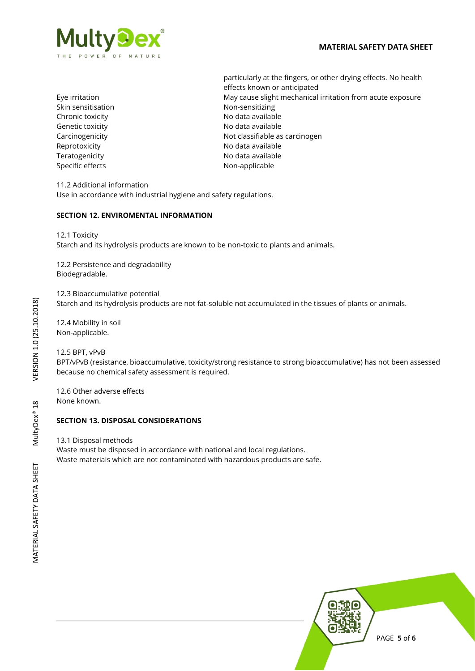

Skin sensitisation Non-sensitizing Chronic toxicity **No official Chronic toxicity** and the North No data available Genetic toxicity **Contract Contract Contract Contract Contract Contract Contract Contract Contract Contract Contract Contract Contract Contract Contract Contract Contract Contract Contract Contract Contract Contract Contra** Reprotoxicity **No data available** Teratogenicity **No data available** No data available Specific effects Non-applicable

particularly at the fingers, or other drying effects. No health effects known or anticipated Eye irritation May cause slight mechanical irritation from acute exposure Carcinogenicity **Not classifiable as carcinogen** 

11.2 Additional information Use in accordance with industrial hygiene and safety regulations.

## **SECTION 12. ENVIROMENTAL INFORMATION**

12.1 Toxicity

Starch and its hydrolysis products are known to be non-toxic to plants and animals.

12.2 Persistence and degradability Biodegradable.

12.3 Bioaccumulative potential Starch and its hydrolysis products are not fat-soluble not accumulated in the tissues of plants or animals.

12.4 Mobility in soil Non-applicable.

12.5 BPT, vPvB BPT/vPvB (resistance, bioaccumulative, toxicity/strong resistance to strong bioaccumulative) has not been assessed because no chemical safety assessment is required.

12.6 Other adverse effects None known.

### **SECTION 13. DISPOSAL CONSIDERATIONS**

13.1 Disposal methods

Waste must be disposed in accordance with national and local regulations. Waste materials which are not contaminated with hazardous products are safe.